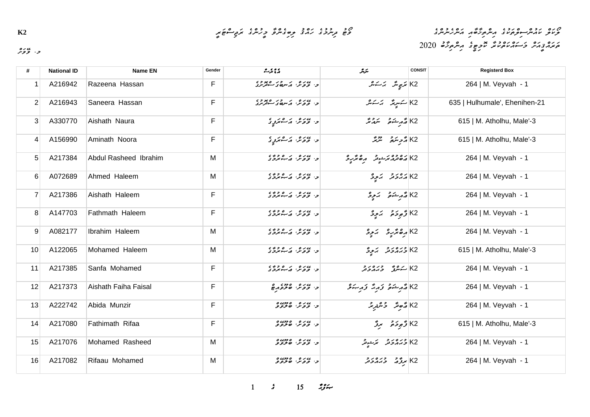*sCw7q7s5w7m< o<n9nOoAw7o< sCq;mAwBoEw7q<m; wBm;vB* م من المرة المرة المرة المرجع المرجع في المركبة 2020<br>مجم*د المريض المربوط المربع المرجع في المراجع المركبة* 

| #              | <b>National ID</b> | Name EN                      | Gender       | ړي پرت                                                    | سرپر                               | <b>CONSIT</b> | <b>Registerd Box</b>          |
|----------------|--------------------|------------------------------|--------------|-----------------------------------------------------------|------------------------------------|---------------|-------------------------------|
| 1              | A216942            | Razeena Hassan               | $\mathsf F$  | ے دہ ہے کہ سرچ دے دے<br>دار قوم کا کام سور سرچ د          | K2 ىزىمەش برسەش                    |               | 264   M. Veyvah - 1           |
| $\overline{2}$ | A216943            | Saneera Hassan               | F            | ے دہ دہ کہ سرحد دے دہ<br>دار ووس کہ سرحد سوترس            | K2 سَسِرِیزٌ بَرَسَہْرٌ            |               | 635   Hulhumale', Ehenihen-21 |
| 3              | A330770            | Aishath Naura                | $\mathsf{F}$ | ه به ده در ۲۵ و.<br>د گروش تر شمزد د                      | K2 مُ مِسْمَعْ مَسْمَدْ مَدْ       |               | 615   M. Atholhu, Male'-3     |
| 4              | A156990            | Aminath Noora                | F            | و بھارہ پر ھار ہ                                          | K2 مُجَرِسَهُ مِتْرَمُّدُ          |               | 615   M. Atholhu, Male'-3     |
| 5              | A217384            | <b>Abdul Rasheed Ibrahim</b> | M            | ه به بره در ۲۵۶۵<br>د نووش که سومروی                      | K2 مەھەرمەغرىيە مەھەردى            |               | 264   M. Veyvah - 1           |
| 6              | A072689            | Ahmed Haleem                 | M            | ه عدده د د دوه و<br>د گوش که سوپروی                       | K2   كەبۇ <i>3 كەب</i> و 3         |               | 264   M. Veyvah - 1           |
| $\overline{7}$ | A217386            | Aishath Haleem               | F            | د. علاوه به بر در دره در د                                | K2 مُجْمِيشَمْ كَمَعِي             |               | 264   M. Veyvah - 1           |
| 8              | A147703            | Fathmath Haleem              | F            | ے <i>میں دے وہ ہ</i><br>وسی وی کا ک                       | K2 وَّجِوَدَةٌ يَرْمِرْدُ          |               | 264   M. Veyvah - 1           |
| 9              | A082177            | Ibrahim Haleem               | M            | د. عاده در ۲۶۶۵ و                                         | K2 رەتمەر ئەردە                    |               | 264   M. Veyvah - 1           |
| 10             | A122065            | Mohamed Haleem               | M            | ه علمان المراكب و و دارد.<br>حين المراكب المراكب و دارد ك | K2  <i>وټرونو ټو</i> و             |               | 615   M. Atholhu, Male'-3     |
| 11             | A217385            | Sanfa Mohamed                | F            | ے دہ دہ در دود ہ<br>دست کوترا کے سومرو د                  | K2 شىرت <sub>ۇ ج</sub> ەم دىر      |               | 264   M. Veyvah - 1           |
| 12             | A217373            | Aishath Faiha Faisal         | F            | ړر ده ده ده وه<br>د ووس صووم                              | K2 مەم شەقر تەرى <i>گ قەرسۇ</i> مى |               | 264   M. Veyvah - 1           |
| 13             | A222742            | Abida Munzir                 | F            | ړ <i>پره ه دون</i><br>د <i>ووس ه</i> څوو                  | K2 مُّەمَّر دېمبرىر                |               | 264   M. Veyvah - 1           |
| 14             | A217080            | Fathimath Rifaa              | F            | ړ ده وده وه<br>د ووس ه ووو                                | K2 وَّجِوَدَةُ مِعْ وَّ            |               | 615   M. Atholhu, Male'-3     |
| 15             | A217076            | Mohamed Rasheed              | M            | ړي ده ودوره ود<br>د ووس صووو                              | K2  <i>وبەدە تەخ</i> مەتە          |               | 264   M. Veyvah - 1           |
| 16             | A217082            | Rifaau Mohamed               | M            | ړ <i>پر ده ه دوده ه</i><br>د ووس صووو                     | K2 بروژه وره در                    |               | 264   M. Veyvah - 1           |

*w6m=t= .>*

*1 s* 15 *i*<sub>S</sub>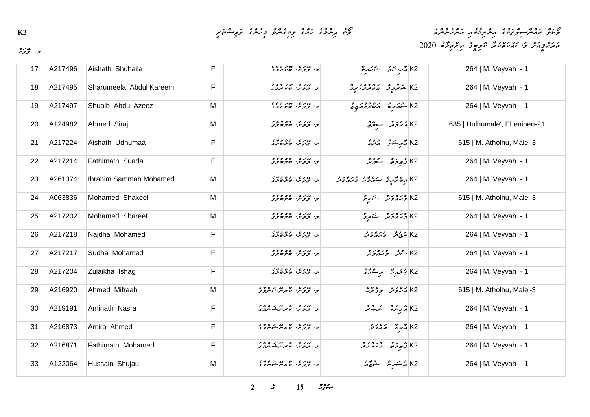*sCw7q7s5w7m< o<n9nOoAw7o< sCq;mAwBoEw7q<m; wBm;vB* م من المرة المرة المرة المرجع المرجع في المركبة 2020<br>مجم*د المريض المربوط المربع المرجع في المراجع المركبة* 

| 17              | A217496 | Aishath Shuhaila        | F           | כי פכתי סמיברכים<br>כי פכתי סמיברבים                    | K2 مەم ئىقىدىكى ئىقتىدىكى ئىق          | 264   M. Veyvah - 1           |
|-----------------|---------|-------------------------|-------------|---------------------------------------------------------|----------------------------------------|-------------------------------|
| 18              | A217495 | Sharumeela Abdul Kareem | F           | و من ده سور وه و<br>د ووس صامروی                        | K2 خەتمرىر قەھەر <i>ۋە ب</i> رو        | 264   M. Veyvah - 1           |
| 19              | A217497 | Shuaib Abdul Azeez      | M           | ے میں مدد دہ ہ<br>حن حوص صد محروبی                      | K2 شەرەھ مەھەر <i>ومى</i> چ            | 264   M. Veyvah - 1           |
| 20              | A124982 | Ahmed Siraj             | M           | ے ے دہ دہ دہ<br>د ووٹر، <b>ص</b> ڑھڑی                   | K2 كەبرى قىرىسىسى ئىقتى ئى             | 635   Hulhumale', Ehenihen-21 |
| 21              | A217224 | Aishath Udhumaa         | F           | ے دہ وہ وہ دی<br>حن توتوں صوصوتی                        | K2 مەم شىم مەمرى <del>گى</del>         | 615   M. Atholhu, Male'-3     |
| 22              | A217214 | Fathimath Suada         | F           | ړره ده ده ده<br>د ووس هنره در                           | K2 ۇ <sub>ج</sub> وڭ ئەرگەنگە          | 264   M. Veyvah - 1           |
| 23              | A261374 | Ibrahim Sammah Mohamed  | M           | د. ي.ره وه وه د.<br>د. نووس صوصور                       | K2 رەڭرىرو سەرەبىر دىرەرد              | 264   M. Veyvah - 1           |
| 24              | A063836 | Mohamed Shakeel         | M           | ے ے دہ دہ دہ ہ<br>حن حوص صوصوبی                         | K2 <i>\$22.3 مىغى</i> ر ق              | 615   M. Atholhu, Male'-3     |
| 25              | A217202 | Mohamed Shareef         | M           | ے بے دہ وہ وہ دی<br>حن نوعرت ت <mark>ص</mark> لون       | K2  3 <i>522 مىتونى</i>                | 264   M. Veyvah - 1           |
| 26              | A217218 | Najdha Mohamed          | F           | ے ے دہ دہ دہ ہ<br>حن تونوں صوصوبی                       | K2 يَرْمَ فِي 25,5%                    | 264   M. Veyvah - 1           |
| 27              | A217217 | Sudha Mohamed           | $\mathsf F$ | ے بے دہ وہ وہ دی<br>حن توتوں صوصوبی                     | K2 جۇ <i>دېم</i> ۇتر                   | 264   M. Veyvah - 1           |
| 28              | A217204 | Zulaikha Ishag          | F           | ے ے دہ دہ دہ ہ<br>حن تونوں صوصوبی                       | K2 تح <i>وّم</i> رتَ م <i>رحمةً في</i> | 264   M. Veyvah - 1           |
| 29              | A216920 | Ahmed Mifraah           | M           | و علاق شهرستوره وه و                                    | K2 كەبرو تەرىپە بىر                    | 615   M. Atholhu, Male'-3     |
| 30 <sup>°</sup> | A219191 | Aminath Nasra           | F           | و علاماه میگرینده و و و و<br>و انتخابی میگرینگریس و و و | K2 مُجْرِسَهُمْ مُسَرَسْمَةٌ           | 264   M. Veyvah - 1           |
| 31              | A216873 | Amira Ahmed             | F           | و عاده، شمرش ده وه و                                    | K2 مَّ جِنَّدَ مَ <sup>رُو</sup> دَ    | 264   M. Veyvah - 1           |
| 32              | A216871 | Fathimath Mohamed       | F           | و علاق شهر علاق ده وه و                                 | K2 رُجِودَة ويُرودو                    | 264   M. Veyvah - 1           |
| 33              | A122064 | Hussain Shujau          | M           | ے بے دورہ محمد شرکت دی ہے<br>حسن حومرہ محمد شرکت شرحری  | K2 پرڪبريش ڪوفير                       | 264   M. Veyvah - 1           |

**2** *s* **15** *z***<sub>***s***</sub>** *z***<sub>***s***</sub>**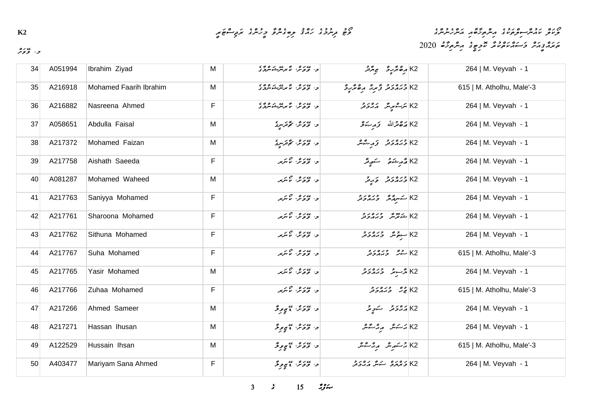*sCw7q7s5w7m< o<n9nOoAw7o< sCq;mAwBoEw7q<m; wBm;vB* م من المرة المرة المرة المرجع المرجع في المركبة 2020<br>مجم*د المريض المربوط المربع المرجع في المراجع المركبة* 

| 34 | A051994 | Ibrahim Ziyad          | M           | و علاماه شمار معرض در در در در در در در این محرض در این محرض در این محرک در این در در در این در در در این در ا | K2 م <i>ەھترى</i> رو بى <sub>م</sub> ترىتر | 264   M. Veyvah - 1       |
|----|---------|------------------------|-------------|----------------------------------------------------------------------------------------------------------------|--------------------------------------------|---------------------------|
| 35 | A216918 | Mohamed Faarih Ibrahim | M           | و المحاوري المتحرمة والمحاورة و المحاوري                                                                       | K2 در در در بر میگرد                       | 615   M. Atholhu, Male'-3 |
| 36 | A216882 | Nasreena Ahmed         | F           | و علاق گارگان ده ده و                                                                                          | K2 ىترىشمېرى <i>گە بەيدۇ قر</i>            | 264   M. Veyvah - 1       |
| 37 | A058651 | Abdulla Faisal         | M           | و بي ده. گاورس                                                                                                 | K2 مَەھقراللە   ترم بەع                    | 264   M. Veyvah - 1       |
| 38 | A217372 | Mohamed Faizan         | M           | و بی ده. گاورس                                                                                                 | K2 <i>دېمم</i> وتر زېرشگ                   | 264   M. Veyvah - 1       |
| 39 | A217758 | Aishath Saeeda         | $\mathsf F$ | و عود هم شهر                                                                                                   | K2 مەم ئىستىم كىم ئىر                      | 264   M. Veyvah - 1       |
| 40 | A081287 | Mohamed Waheed         | M           | وبه علاماته الممكن المكانين                                                                                    | K2  <i>وْبَهُوْدَتْوْ وَبِ</i> تْرُ        | 264   M. Veyvah - 1       |
| 41 | A217763 | Saniyya Mohamed        | F           | و عوثر کانتزین                                                                                                 | $52025$ $5202$ $K2$                        | 264   M. Veyvah - 1       |
| 42 | A217761 | Sharoona Mohamed       | F           | و عوثر، محسّد                                                                                                  | K2 خەمرىتر بەربەر د                        | 264   M. Veyvah - 1       |
| 43 | A217762 | Sithuna Mohamed        | F           | و عود هم شهر                                                                                                   | K2 جوڻر <i>وبرو</i> رو                     | 264   M. Veyvah - 1       |
| 44 | A217767 | Suha Mohamed           | $\mathsf F$ | و علامی انگلاین                                                                                                | K2 جيڙ ويروونر                             | 615   M. Atholhu, Male'-3 |
| 45 | A217765 | Yasir Mohamed          | M           | و عوثر، ممکن                                                                                                   | K2 ترسېتر <i>محمد م</i> حمد                | 264   M. Veyvah - 1       |
| 46 | A217766 | Zuhaa Mohamed          | $\mathsf F$ | حزا عامرهن الأمكريل                                                                                            | K2 پڑ دیکھ دیو                             | 615   M. Atholhu, Male'-3 |
| 47 | A217266 | Ahmed Sameer           | M           | د عدده علمومگر                                                                                                 | K2 كەبرى بىر سىمبرىتى بىر                  | 264   M. Veyvah - 1       |
| 48 | A217271 | Hassan Ihusan          | M           | د عدده علمومگر                                                                                                 | K2   يَرْسَسْ مِيْرَسْسْرَ                 | 264   M. Veyvah - 1       |
| 49 | A122529 | Hussain Ihsan          | M           | و عموم ، ، ، ، و و څ                                                                                           | K2 يُرْسَمْ بِهِ مِنْ شَمَّرْ              | 615   M. Atholhu, Male'-3 |
| 50 | A403477 | Mariyam Sana Ahmed     | F           | و عدده، عیمونژ                                                                                                 | K2 كەبۇر ئەش كەبرەتر                       | 264   M. Veyvah - 1       |

**3** *s* **15** *z***<sub>***i***</sub>c</del>**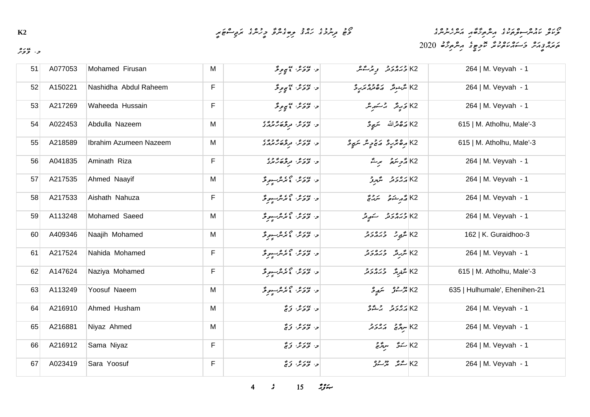*sCw7q7s5w7m< o<n9nOoAw7o< sCq;mAwBoEw7q<m; wBm;vB* م من المرة المرة المرة المرجع المرجع في المركبة 2020<br>مجم*د المريض المربوط المربع المرجع في المراجع المركبة* 

| 51 | A077053 | Mohamed Firusan        | M | ه عده، » په وق                                                                                                                                                                                                                 | K2 دېم د د تر مرگ شر                          | 264   M. Veyvah - 1           |
|----|---------|------------------------|---|--------------------------------------------------------------------------------------------------------------------------------------------------------------------------------------------------------------------------------|-----------------------------------------------|-------------------------------|
| 52 | A150221 | Nashidha Abdul Raheem  | F | د عدده علم و د محمد استاده د محمد د محمد استاده استاده کرد که در استاده کرد که استاده کرد که در استاده کرد که<br>مرد استاده کرد که در استاده کرد که در استاده کرد که در استاده کرد که برای کرد که برای کرد که برای کرد که برای | K2 سَّرْجْدِمَّر مِنْ 200 مِرْمَ مَرْبِرِ 2   | 264   M. Veyvah - 1           |
| 53 | A217269 | Waheeda Hussain        | F | و علاق علم وق                                                                                                                                                                                                                  | K2 كۇب <sub>و</sub> نگر گ <sup>ە</sup> سكىرىش | 264   M. Veyvah - 1           |
| 54 | A022453 | Abdulla Nazeem         | M | و عاده و دوره وده<br>و ووس تروه رسمان                                                                                                                                                                                          | K2 مَەھمَراللە سَرىپوگر                       | 615   M. Atholhu, Male'-3     |
| 55 | A218589 | Ibrahim Azumeen Nazeem | M | و مصره مروج ده.<br>د ووس مرده <i>ترو</i>                                                                                                                                                                                       | K2 مەھگرى <sup>3</sup> مەقرىر سەر 2           | 615   M. Atholhu, Male'-3     |
| 56 | A041835 | Aminath Riza           | F | ه به ده مرد و .                                                                                                                                                                                                                | K2 مُرْحِبَتِهُمْ مَرِيَّةُ                   | 264   M. Veyvah - 1           |
| 57 | A217535 | Ahmed Naayif           | M | و علام مهم ده مورد و گر                                                                                                                                                                                                        | K2 كەندى تەرىخ                                | 264   M. Veyvah - 1           |
| 58 | A217533 | Aishath Nahuza         | F | د. ء، دە ئەنگەر بەرگە                                                                                                                                                                                                          | K2 مەم ئىشقى ئىرىمىتى ئىچ                     | 264   M. Veyvah - 1           |
| 59 | A113248 | Mohamed Saeed          | M | ه به ۱۵ می می شود می در می در کلید از این می در کلید از دیگر از این می داد کرد که به این در این دست که به این<br>در این می در این می در این می در این می دارند که به دست کرد که به دست که به دست که به دست که با دست که با دست | K2 <i>322.5 مئير شرق</i> ر                    | 264   M. Veyvah - 1           |
| 60 | A409346 | Naajih Mohamed         | M | د. ء، دە مى ئەربىر موگە                                                                                                                                                                                                        | K2 تَرْبِعِ رَحْمَدُ وَمَدَ وَمَدَ            | 162   K. Guraidhoo-3          |
| 61 | A217524 | Nahida Mohamed         | F | و ، ئۇنۇش مىم ئەرسوم ئى                                                                                                                                                                                                        | K2 بَرْرِيْرٌ     دْبَرْدْ دْنْرْ             | 264   M. Veyvah - 1           |
| 62 | A147624 | Naziya Mohamed         | F | و ، ئۇنۇش مىم ئەرسوم ئى                                                                                                                                                                                                        | K2 مُنبرمَّ وَبَرَمُروسَ                      | 615   M. Atholhu, Male'-3     |
| 63 | A113249 | Yoosuf Naeem           | M | ە <sup>، ي</sup> ۇرۇش كېمىرگە بىرىدۇ.                                                                                                                                                                                          | K2 تېر - تو سمه د                             | 635   Hulhumale', Ehenihen-21 |
| 64 | A216910 | Ahmed Husham           | M | و بھۇش ئەتج                                                                                                                                                                                                                    | K2 كەبروتى ب <sub>ەشك</sub> ۇ                 | 264   M. Veyvah - 1           |
| 65 | A216881 | Niyaz Ahmed            | M | و بھىمىش توتى                                                                                                                                                                                                                  | K2 سرگريم که ټر <i>څ</i> ونر                  | 264   M. Veyvah - 1           |
| 66 | A216912 | Sama Niyaz             | F | و کارگان کالج کا                                                                                                                                                                                                               | K2 جَدَّ سِ <i>رَدُّج</i> َ                   | 264   M. Veyvah - 1           |
| 67 | A023419 | Sara Yoosuf            | F | و· عَرَضٌ وَنَجْ                                                                                                                                                                                                               | K2 جَمَعَ مَرْسُورْ                           | 264   M. Veyvah - 1           |

*4 s* 15 *i*<sub>s</sub> $\approx$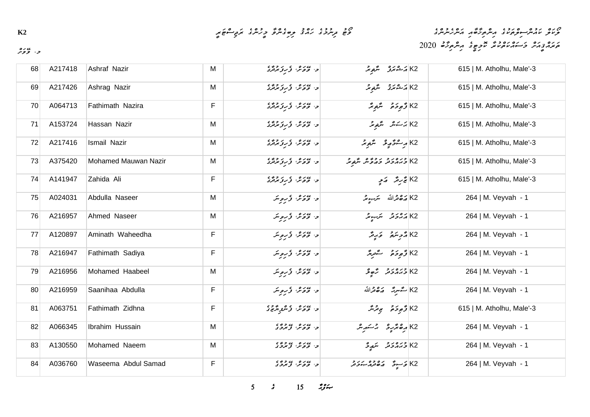*sCw7q7s5w7m< o<n9nOoAw7o< sCq;mAwBoEw7q<m; wBm;vB* م من المرة المرة المرة المرجع المرجع في المركبة 2020<br>مجم*د المريض المربوط المربع المرجع في المراجع المركبة* 

| 68 | A217418 | Ashraf Nazir         | M            | د· ءَوَشْ وَرِوَمُرْمَّدُ                                 | K2 كەشقىدى ئىتى <i>نجە تى</i> ر            | 615   M. Atholhu, Male'-3 |
|----|---------|----------------------|--------------|-----------------------------------------------------------|--------------------------------------------|---------------------------|
| 69 | A217426 | Ashrag Nazir         | M            | و بیره و دود،                                             | K2 كەشقەتمەتقە س <i>تىغ</i> وتتىر          | 615   M. Atholhu, Male'-3 |
| 70 | A064713 | Fathimath Nazira     | F            | و علمرہ کا مرکز دیا۔<br>واقوموں کی مرکز مرکزی             | K2 رَّج <i>وحَة</i> سَّمْعِ سَّ            | 615   M. Atholhu, Male'-3 |
| 71 | A153724 | Hassan Nazir         | M            | و عامره، و د ووه و                                        | K2   ئەستەشقە س <i>تىغ</i> ويتى            | 615   M. Atholhu, Male'-3 |
| 72 | A217416 | <b>Ismail Nazir</b>  | M            | ه به ده به دود ،<br><mark>د نووش ورو بردر</mark> د        | K2 م <i>ېشۇمۇ ئىتمنى</i> تى                | 615   M. Atholhu, Male'-3 |
| 73 | A375420 | Mohamed Mauwan Nazir | M            | و بھار پھر ووی                                            | K2 درەر دردەرە شەر                         | 615   M. Atholhu, Male'-3 |
| 74 | A141947 | Zahida Ali           | F            | و بیمرہ کی توسیح دی                                       | K2 تجريٹر کی پر                            | 615   M. Atholhu, Male'-3 |
| 75 | A024031 | Abdulla Naseer       | M            | أوا عاوده وكرونتر                                         | K2 مَەھمَراللە سَرَسِيْسَر                 | 264   M. Veyvah - 1       |
| 76 | A216957 | Ahmed Naseer         | M            | والمحاوص وكرونتر                                          | K2   <i>مَہُدُوَمَدِ</i> سَرَسِیْمَہ       | 264   M. Veyvah - 1       |
| 77 | A120897 | Aminath Waheedha     | $\mathsf{F}$ | وبمحاوض كمخ ميصر                                          | K2 مُّحِ سَمَّةً وَبِيَّتَر                | 264   M. Veyvah - 1       |
| 78 | A216947 | Fathimath Sadiya     | F            | وسيمض ورونتر                                              | K2 تَ <i>جِ جَ</i> جَمَعَ مُسْتَمَرِ جَمَّ | 264   M. Veyvah - 1       |
| 79 | A216956 | Mohamed Haabeel      | M            | ه علمان و دره متر                                         | K2 <i>جەنگە جۇ جى</i> م                    | 264   M. Veyvah - 1       |
| 80 | A216959 | Saanihaa Abdulla     | F            | أوالمحاورها كمخ مبعد كالمحاس                              | K2 گەس <i>رن<sup>ى</sup> مەھە</i> راللە    | 264   M. Veyvah - 1       |
| 81 | A063751 | Fathimath Zidhna     | F            | و علمره و عروبه و د                                       | K2 <i>وَّهِ دَهْ</i> پِيْرَ مَّرْ          | 615   M. Atholhu, Male'-3 |
| 82 | A066345 | Ibrahim Hussain      | M            | ے دے دہ ہے وہ ہ<br>حن حوص کی محروری                       | K2 مەھەر بىر ئەسەمبە ئىر                   | 264   M. Veyvah - 1       |
| 83 | A130550 | Mohamed Naeem        | M            | ے بے دہ ہے وہ بے<br>وسی محوض کی محروبی                    | K2 دېم <i>ډېر</i> تر من                    | 264   M. Veyvah - 1       |
| 84 | A036760 | Waseema Abdul Samad  | F            | ہے <i>۔ ہے ۔ وہ ہ</i><br>حرا کوحرا کی محرچ <sub>ک</sub> ے | K2 كۆسىرى ھەمەمەدە بەر<br>K2               | 264   M. Veyvah - 1       |

 $5$   $5$   $15$   $75$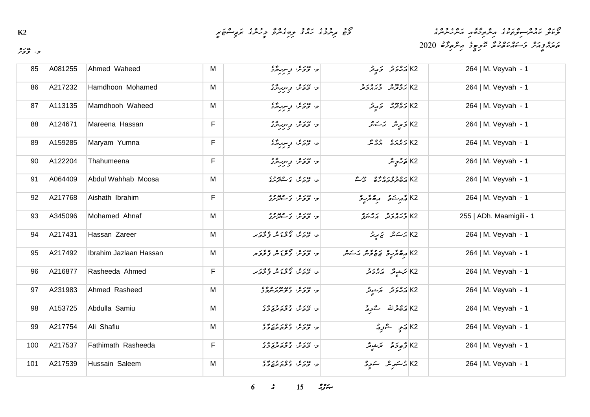*sCw7q7s5w7m< o<n9nOoAw7o< sCq;mAwBoEw7q<m; wBm;vB* م من المرة المرة المرة المرجع المرجع في المركبة 2020<br>مجم*د المريض المربوط المربع المرجع في المراجع المركبة* 

| 85  | A081255 | Ahmed Waheed           | M | و عاده وسرچ                                                                                                    | K2 كەنزى قىرى <i>گ</i>               | 264   M. Veyvah - 1      |
|-----|---------|------------------------|---|----------------------------------------------------------------------------------------------------------------|--------------------------------------|--------------------------|
| 86  | A217232 | Hamdhoon Mohamed       | M | ه عدده وسرچ                                                                                                    | K2 גەمىرە مەدەبىر                    | 264   M. Veyvah - 1      |
| 87  | A113135 | Mamdhooh Waheed        | M | و عاده وسرچ                                                                                                    | K2 كر <i>ەيوو كەب</i> ەتر            | 264   M. Veyvah - 1      |
| 88  | A124671 | Mareena Hassan         | F | و علاه وسربرده                                                                                                 | K2  كالبريتش    برسكايش              | 264   M. Veyvah - 1      |
| 89  | A159285 | Maryam Yumna           | F | و عاده وسرچ                                                                                                    | K2 كەبەر بەر بۇرىگر                  | 264   M. Veyvah - 1      |
| 90  | A122204 | Thahumeena             | F | و عاده وسرچ                                                                                                    | K2 كۈرگە بەگە                        | 264   M. Veyvah - 1      |
| 91  | A064409 | Abdul Wahhab Moosa     | M | د. عدد و، د مرد و ده.<br>د. نوکوش، د سه تعریبرد                                                                |                                      | 264   M. Veyvah - 1      |
| 92  | A217768 | Aishath Ibrahim        | F | د. عدد و به دود و د<br>د. نووش که سوتربرو                                                                      | K2 مُەشەھ مەھىر بە                   | 264   M. Veyvah - 1      |
| 93  | A345096 | Mohamed Ahnaf          | M | ے میں دے ہے وہ<br>حن تحویل کی سوٹرین                                                                           | K2 ديره ده بره برو                   | 255   ADh. Maamigili - 1 |
| 94  | A217431 | Hassan Zareer          | M | د. در ده ارون و در در در در در این در این کار در این کار در این در این در این در این در این در این در این در ا | K2   پرستہ سی تھے ہویتر              | 264   M. Veyvah - 1      |
| 95  | A217492 | Ibrahim Jazlaan Hassan | M | د دره مصره وور<br>د ووین د وره و و و                                                                           | K2 رەڭرىق ق <sup>ى</sup> مۇش ئەسەر   | 264   M. Veyvah - 1      |
| 96  | A216877 | Rasheeda Ahmed         | F | ہ ہے رہ ۔ 20 رہ ۔ وہ ر<br>حسن وی اس و قروبر                                                                    | K2 بَرَحْدٍ مَدَّ دَمَرَ مَرَّ مَدَّ | 264   M. Veyvah - 1      |
| 97  | A231983 | Ahmed Rasheed          | M | מינים - כמידר ניסים<br>כי פפיני בי <del>ל</del> יינטינדים                                                      | K2 كەبرى كىم كىم ئىسىمىتى كىل        | 264   M. Veyvah - 1      |
| 98  | A153725 | Abdulla Samiu          | M | ے دے وہ دورہ دی۔<br>وسی وہ دو دی دی                                                                            | K2 مَرْهُ قَرْاللّه سَّمْرَ مُرْ     | 264   M. Veyvah - 1      |
| 99  | A217754 | Ali Shafiu             | M | ے دے وہ دورہ دی۔<br>وسی وہ دو مرد وی                                                                           | K2 كەمچە ھە <i>قۇ</i> ر              | 264   M. Veyvah - 1      |
| 100 | A217537 | Fathimath Rasheeda     | F | ے رہ دہ دہ دہ ہے<br>د ووٹر د <b>و</b> ج <del>ب</del> ر ج                                                       | K2 وَجوحَة مَ مَرْسُومَّرَ           | 264   M. Veyvah - 1      |
| 101 | A217539 | Hussain Saleem         | M | ے دے وہ دورہ دی۔<br>وسی وہ دو دی دی                                                                            | K2 پرڪبريش ڪوچي                      | 264   M. Veyvah - 1      |

 $6$   $3$   $15$   $29$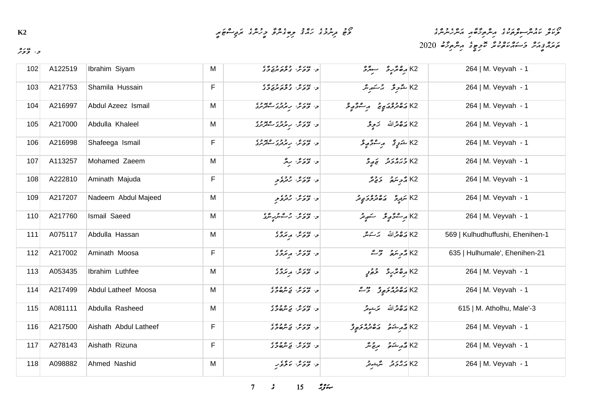*sCw7q7s5w7m< o<n9nOoAw7o< sCq;mAwBoEw7q<m; wBm;vB* م من المرة المرة المرة المرجع المرجع في المركبة 2020<br>مجم*د المريض المربوط المربع المرجع في المراجع المركبة* 

| 102 | A122519 | Ibrahim Siyam         | M           | ے دہ ۔ وہ د ور دی<br>د کوکرا کے محوم مربع حرک                              | K2 مەھمەر ئەسىر ئىشىن كىلەت كىلەت ئىستىدىكى ئاستان ئىستان ئىستان ئىستان ئىستان ئىستان ئىستان ئىستان ئىستان ئىس | 264   M. Veyvah - 1              |
|-----|---------|-----------------------|-------------|----------------------------------------------------------------------------|----------------------------------------------------------------------------------------------------------------|----------------------------------|
| 103 | A217753 | Shamila Hussain       | F           | و است ده د د د د د ورانوانو د است.<br>د او د ووس از موجود برانو چرانو از ک | K2 څونځ پر شهر شر                                                                                              | 264   M. Veyvah - 1              |
| 104 | A216997 | Abdul Azeez Ismail    | M           | ه به ده رود و ده ده ده<br>د کولوس ریزتری ستورنری                           | K2 مەھىر <i>ۈم يې قىر سىۋو</i> پۇ                                                                              | 264   M. Veyvah - 1              |
| 105 | A217000 | Abdulla Khaleel       | M           |                                                                            | K2 مَرْجُ مِرْاللّه    نَرْجِ بْحْرِ                                                                           | 264   M. Veyvah - 1              |
| 106 | A216998 | Shafeega Ismail       | F           |                                                                            | K2 خَرَرٍ يَّةَ مِ سُءَّدِيْرَ ۖ                                                                               | 264   M. Veyvah - 1              |
| 107 | A113257 | Mohamed Zaeem         | M           | و بھوش رنگ                                                                 | K2  <i>جەڭگە قىمب</i> ۇ                                                                                        | 264   M. Veyvah - 1              |
| 108 | A222810 | Aminath Majuda        | F           | و عامرہ رووی                                                               | K2 مُجِسَمَ وَقَامَرُ                                                                                          | 264   M. Veyvah - 1              |
| 109 | A217207 | Nadeem Abdul Majeed   | M           | و عامرہ رووی                                                               | K2 سَمِرِدْ مَصْرُوْدَ مِي مَرْ                                                                                | 264   M. Veyvah - 1              |
| 110 | A217760 | <b>Ismail Saeed</b>   | M           | و علامات و ما در دره و                                                     | K2 مرےوً موقع ہے کہ تھے۔<br>K2                                                                                 | 264   M. Veyvah - 1              |
| 111 | A075117 | Abdulla Hassan        | M           | ے بھی مہرون<br>وسی وی مہروی                                                | K2 مَەقراللە بەسكەش                                                                                            | 569   Kulhudhuffushi, Ehenihen-1 |
| 112 | A217002 | Aminath Moosa         | $\mathsf F$ | و· عامره به مردم و<br>و· حوص به مروری                                      | K2 أُمَّ مِسَمَّعٍ حَمَّـ مَّ                                                                                  | 635   Hulhumale', Ehenihen-21    |
| 113 | A053435 | Ibrahim Luthfee       | M           | و· نحاتون المربوع<br>و· نحافون المربوعي                                    | K2 <sub>مو</sub> ھ <i>مگرد</i> و محجومي                                                                        | 264   M. Veyvah - 1              |
| 114 | A217499 | Abdul Latheef Moosa   | M           | ے بے دہ دہ دہ ہے<br>دست کو کا کا کا کا کا کا کا ا                          | K2 <sub>مەھ</sub> رىر بور تەر                                                                                  | 264   M. Veyvah - 1              |
| 115 | A081111 | Abdulla Rasheed       | M           | ے میں دے دی۔<br>دان فوٹر، فے سرحاوی                                        | K2 كَەھەراللە كَرْسْوِتْر                                                                                      | 615   M. Atholhu, Male'-3        |
| 116 | A217500 | Aishath Abdul Latheef | F           | ے دو دود ہے<br>در فوفران میں موضوع                                         | K2 مەم شەھ مەھىم <i>مەھ</i>                                                                                    | 264   M. Veyvah - 1              |
| 117 | A278143 | Aishath Rizuna        | F           | ے بے رہ رہ دی۔<br>حن توتوش تے سرحاوی                                       | K2 مۇم ھۇم سىيى ئىگە                                                                                           | 264   M. Veyvah - 1              |
| 118 | A098882 | Ahmed Nashid          | M           |                                                                            | K2 كەبرى قىر سەر ئىش ئىشلىقى ئىشلار ئىشلار ئىشلار ئىشلار ئىشلار ئىستان ئىشلار ئىشلار ئىشلار ئىشلار ئىشلار ئىشل | 264   M. Veyvah - 1              |

*7 sC 15 nNw?mS*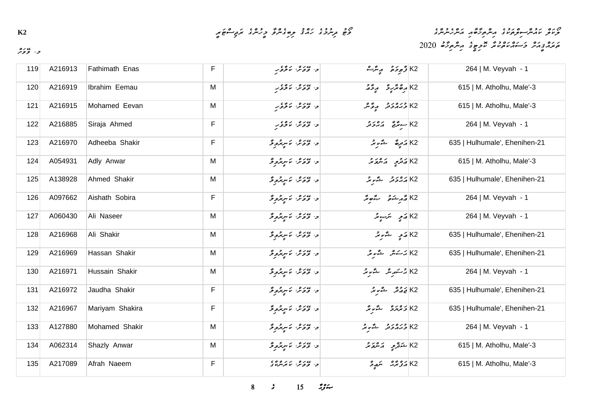*sCw7q7s5w7m< o<n9nOoAw7o< sCq;mAwBoEw7q<m; wBm;vB* م من المرة المرة المرة المرجع المرجع في المركبة 2020<br>مجم*د المريض المربوط المربع المرجع في المراجع المركبة* 

| 119 | A216913 | Fathimath Enas  | F           | و گەمزە ئەقرەپ                      | K2  <i>وُجودَة دِيتَرْ</i> -               | 264   M. Veyvah - 1           |
|-----|---------|-----------------|-------------|-------------------------------------|--------------------------------------------|-------------------------------|
| 120 | A216919 | Ibrahim Eemau   | M           | و علام مۇۋر                         | K2 مەھ <i>مگىرى م</i> وگە                  | 615   M. Atholhu, Male'-3     |
| 121 | A216915 | Mohamed Eevan   | M           |                                     | K2 <i>جەجەھىر بوغ</i> ىر                   | 615   M. Atholhu, Male'-3     |
| 122 | A216885 | Siraja Ahmed    | $\mathsf F$ | و علام موثوب                        | K2 سىمَدَّةً كەندۇقر                       | 264   M. Veyvah - 1           |
| 123 | A216970 | Adheeba Shakir  | F           | و ، ءوه، ئاسپروتر                   | K2 ك <sup>ى</sup> رى <i>ق</i> شەرىخە       | 635   Hulhumale', Ehenihen-21 |
| 124 | A054931 | Adly Anwar      | M           | و بيمره، ئاسرچره څ                  | K2 <i>مَحْرَمِي مَعْرَمَّدُ</i>            | 615   M. Atholhu, Male'-3     |
| 125 | A138928 | Ahmed Shakir    | M           | و ، ئۇنۇش ئاسرىردۇ ئى               | K2 كەبرى ئەرىئى ئىشرىتىر                   | 635   Hulhumale', Ehenihen-21 |
| 126 | A097662 | Aishath Sobira  | F           | و علمان مكبر چرچ گ                  | $z_0$ $\approx$ $z_1$ $\approx$ $z_2$ $K2$ | 264   M. Veyvah - 1           |
| 127 | A060430 | Ali Naseer      | M           | و علمان ماسرپره و گ                 | K2  رَمِي سَرَسِيمْر                       | 264   M. Veyvah - 1           |
| 128 | A216968 | Ali Shakir      | M           | و عدده، ئامبرچرونژ                  | K2 ڪيو ڪيوبٽر                              | 635   Hulhumale', Ehenihen-21 |
| 129 | A216969 | Hassan Shakir   | M           | و بيمره ، مَسِهْرِهِ وَّ            | K2 بَرْسَة مَدْ مِدْيَر بِرْ               | 635   Hulhumale', Ehenihen-21 |
| 130 | A216971 | Hussain Shakir  | M           | و بیمرہ، ئاسرپڑوٹر                  | K2 پرڪبريش ڪيوبٽر                          | 264   M. Veyvah - 1           |
| 131 | A216972 | Jaudha Shakir   | $\mathsf F$ | و عدده، ئامبرچرونژ                  | K2 يَحدَّثَرَ حَسَّمَ بِرَّ                | 635   Hulhumale', Ehenihen-21 |
| 132 | A216967 | Mariyam Shakira | F           | و عدده، ئامبرچرونژ                  | K2 كەبىر ئىرىدىگە بىر ئىر                  | 635   Hulhumale', Ehenihen-21 |
| 133 | A127880 | Mohamed Shakir  | M           | و بيمزه بمبرچه و گ                  | K2 <i>جەممى ھىرىمى</i>                     | 264   M. Veyvah - 1           |
| 134 | A062314 | Shazly Anwar    | M           | و ، ءوما ، مسر پڑو بھ               | K2 خَنْثَرِ جِمْ مَ <i>مْرَةٌ مَ</i> رْ    | 615   M. Atholhu, Male'-3     |
| 135 | A217089 | Afrah Naeem     | F           | د. عاده، در ده ود.<br>د. ووش، مایوس | K2 <i>ټرو پژو سمو</i> څ                    | 615   M. Atholhu, Male'-3     |

**8** *s* **15** *n***<sub>y</sub> <b>***n*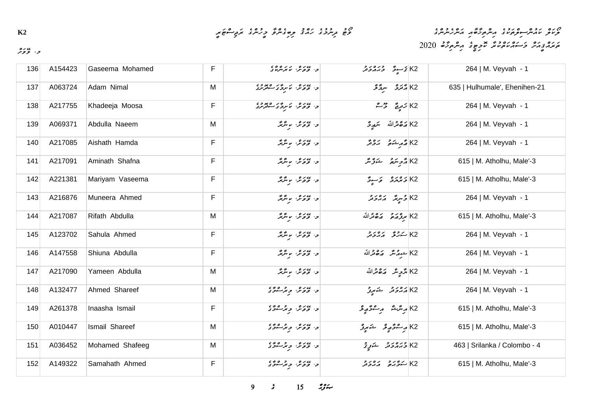*sCw7q7s5w7m< o<n9nOoAw7o< sCq;mAwBoEw7q<m; wBm;vB* م من المرة المرة المرة المرجع المرجع في المركبة 2020<br>مجم*د المريض المربوط المربع المرجع في المراجع المركبة* 

| 136 | A154423 | Gaseema Mohamed       | F           | و عوض مترومه                                            | K2 تۇس <sub>ى</sub> ر قىر <i>مەد قى</i> ر  | 264   M. Veyvah - 1           |
|-----|---------|-----------------------|-------------|---------------------------------------------------------|--------------------------------------------|-------------------------------|
| 137 | A063724 | Adam Nimal            | M           | د در ده که مرکز وجود د و د<br>د انونوش که مرکز کار مورس | K2 جُمَدَةَ سِمَّةٌ سَمَّةٌ                | 635   Hulhumale', Ehenihen-21 |
| 138 | A217755 | Khadeeja Moosa        | F           | د در ده که مرکز وجود د و د<br>د انونوش که مرکز کار مورس | K2 كَتَمِيعٌ مُحْ شُرٌ =                   | 264   M. Veyvah - 1           |
| 139 | A069371 | Abdulla Naeem         | M           | و عوفري باندگر                                          | K2 مَەقراللە سَم <u>ە</u> د                | 264   M. Veyvah - 1           |
| 140 | A217085 | Aishath Hamda         | F           | و عوفري باندگر                                          | K2 مەم ئىم ئىمىسى ئىس                      | 264   M. Veyvah - 1           |
| 141 | A217091 | Aminath Shafna        | $\mathsf F$ | و عوفر باندگر                                           | K2 گەج سَمَعْ شَوَيْتَر                    | 615   M. Atholhu, Male'-3     |
| 142 | A221381 | Mariyam Vaseema       | F           | و عموش میگر                                             | K2 كانترنى قاسومى                          | 615   M. Atholhu, Male'-3     |
| 143 | A216876 | Muneera Ahmed         | F           | و عوفر باندگر                                           | K2 دېږ <i>نگه ډېر دو</i>                   | 264   M. Veyvah - 1           |
| 144 | A217087 | Rifath Abdulla        | M           | ه په ۱۳۶۵ موشر                                          | K2 <i>موقده م</i> حصرالله                  | 615   M. Atholhu, Male'-3     |
| 145 | A123702 | Sahula Ahmed          | F           | و عود با مگر                                            | K2 جَرْبَرُ مَدْرَمْر                      | 264   M. Veyvah - 1           |
| 146 | A147558 | Shiuna Abdulla        | F           | و عوفري باشر                                            | K2 حو <i>م شرق مركا</i> قرالله             | 264   M. Veyvah - 1           |
| 147 | A217090 | Yameen Abdulla        | M           | و عوفري باندگر                                          | K2 مَرْحٍ شُر مَرْهُ قَرْاللّه             | 264   M. Veyvah - 1           |
| 148 | A132477 | Ahmed Shareef         | M           | و بھارہ و بڑے وی                                        | K2 كەش <sup>ى</sup> كىرى سىكىمى تەرىپى كىل | 264   M. Veyvah - 1           |
| 149 | A261378 | Inaasha Ismail        | F           | و بھارہ و بڑے وی                                        | K2 برىئرىش برىشۇپ <sub>و</sub> تۇ          | 615   M. Atholhu, Male'-3     |
| 150 | A010447 | <b>Ismail Shareef</b> | M           | و علامات و بر دوره و                                    | K2 برےوً ہو جو سکا پرو                     | 615   M. Atholhu, Male'-3     |
| 151 | A036452 | Mohamed Shafeeg       | M           | و عصره و و و و و                                        | K2  <i>وبروويز خوړِ و</i>                  | 463   Srilanka / Colombo - 4  |
| 152 | A149322 | Samahath Ahmed        | F           | و علمان و برخاوی                                        | K2 جوبرہ برہ دیں                           | 615   M. Atholhu, Male'-3     |

*9 s* 15 *i*<sub>S</sub>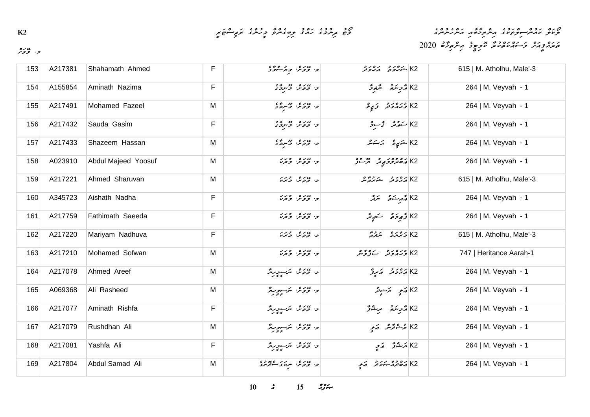*sCw7q7s5w7m< o<n9nOoAw7o< sCq;mAwBoEw7q<m; wBm;vB* م من المرة المرة المرة المرجع المرجع في المركبة 2020<br>مجم*د المريض المربوط المربع المرجع في المراجع المركبة* 

| 153 | A217381 | Shahamath Ahmed     | F            | و· عاده و برخور             | K2 خەرجە مەرجى                                          | 615   M. Atholhu, Male'-3 |
|-----|---------|---------------------|--------------|-----------------------------|---------------------------------------------------------|---------------------------|
| 154 | A155854 | Aminath Nazima      | F            | و عاده و سرده               | K2 أ <i>مَّ جِسَمَة مُتَّبِيُّ</i> حَ                   | 264   M. Veyvah - 1       |
| 155 | A217491 | Mohamed Fazeel      | M            | و عاده و دره                | K2  <i>32,325 وَي</i> حو                                | 264   M. Veyvah - 1       |
| 156 | A217432 | Sauda Gasim         | F            | و عاده و دره                | K2 سَمَ <i>دِيدٌ</i> تَوَسِعْرُ                         | 264   M. Veyvah - 1       |
| 157 | A217433 | Shazeem Hassan      | M            | و عدده و دره                | K2 خىم ئەسىمىسىسىسىسىسىسىسىسىسىسىسىسىسىسىسىسى<br>مەسىمە | 264   M. Veyvah - 1       |
| 158 | A023910 | Abdul Majeed Yoosuf | M            | و عاد و درد                 | K2 كەھەر <i>جەمبەر بىر سۆ</i> ر                         | 264   M. Veyvah - 1       |
| 159 | A217221 | Ahmed Sharuvan      | M            | و عدده، وړر                 | K2 كەبروتر شەمر <i>ۇش</i>                               | 615   M. Atholhu, Male'-3 |
| 160 | A345723 | Aishath Nadha       | $\mathsf F$  | ە بەرە دىرىر<br>دا ئەن دىمە | K2 مُگرمشمو سَرَمَّر                                    | 264   M. Veyvah - 1       |
| 161 | A217759 | Fathimath Saeeda    | F            | و عاد و درد                 | K2 رَّج <i>وحَةْ</i> سَم <i>َ مِ</i> مَّ                | 264   M. Veyvah - 1       |
| 162 | A217220 | Mariyam Nadhuva     | F            | و عدد و در                  | K2 كەيرىرى بەر <i>ە</i> م                               | 615   M. Atholhu, Male'-3 |
| 163 | A217210 | Mohamed Sofwan      | M            | و عاد و درد                 | K2 دېره د د بره ده.                                     | 747   Heritance Aarah-1   |
| 164 | A217078 | Ahmed Areef         | M            | و 200 مى مىسورىدى<br>ئ      | K2 كەش <sup>ى</sup> كەت كەسىرتى                         | 264   M. Veyvah - 1       |
| 165 | A069368 | Ali Rasheed         | M            | و عاده شرسورد               | K2 كەمچە كەشىرىگە                                       | 264   M. Veyvah - 1       |
| 166 | A217077 | Aminath Rishfa      | $\mathsf{F}$ | و بھارہ شرید دیگر           | K2 مُرْسِرَة مِرْشَرَّ                                  | 264   M. Veyvah - 1       |
| 167 | A217079 | Rushdhan Ali        | ${\sf M}$    | و بھارہ شرید وراڈ           | K2 برْڪوترن <i>گر پرکمبر</i>                            | 264   M. Veyvah - 1       |
| 168 | A217081 | Yashfa Ali          | F            | د. ٷۆش سەسورىد              | K2 بَرْشَوَّ كَيْرٍ                                     | 264   M. Veyvah - 1       |
| 169 | A217804 | Abdul Samad Ali     | M            |                             | K2 كەھەرمەدىق كەيج                                      | 264   M. Veyvah - 1       |

 $10$  *s*  $15$  *z***<sub>3</sub>** $\approx$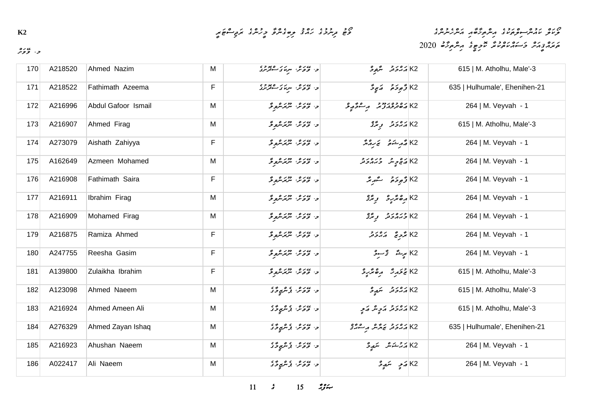*sCw7q7s5w7m< o<n9nOoAw7o< sCq;mAwBoEw7q<m; wBm;vB* م من المرة المرة المرة المرجع المرجع في المركبة 2020<br>مجم*د المريض المربوط المربع المرجع في المراجع المركبة* 

| 170 | A218520 | Ahmed Nazim         | M | د. عدد علی سربر و میرو ه<br>د. نوتور، سربر <sub>کا</sub> مشر <i>بر</i> ی | K2 كەبرى قرىم ئىنجا ئىقتى ئىنجا ئىقتى ئىنجا ئىقتى ئىنجا ئىقتى ئىقتى ئىقتى ئىقتى ئىقتى ئىقتى ئىقتى ئى | 615   M. Atholhu, Male'-3     |
|-----|---------|---------------------|---|--------------------------------------------------------------------------|------------------------------------------------------------------------------------------------------|-------------------------------|
| 171 | A218522 | Fathimath Azeema    | F | و عامره، سربر معدو و.<br>و گوگو، سربری سافر مرد                          | K2 ژ <sub>ن</sub> جو <i>خرقه م</i> َ <sub>ک</sub> وځ                                                 | 635   Hulhumale', Ehenihen-21 |
| 172 | A216996 | Abdul Gafoor Ismail | M | و. عاده اودره و                                                          | K2 مەھ <i>زىرى بو</i> ر مەركىمى ئىل                                                                  | 264   M. Veyvah - 1           |
| 173 | A216907 | Ahmed Firag         | M | و عاده ودره و                                                            | K2 كەش <sup>ى</sup> رىقى بويىتى ئى                                                                   | 615   M. Atholhu, Male'-3     |
| 174 | A273079 | Aishath Zahiyya     | F | و علامات معرض و محمد المستخدم الم                                        | K2 مەم ئىقسىم تى <i>م بەر ئار</i>                                                                    | 264   M. Veyvah - 1           |
| 175 | A162649 | Azmeen Mohamed      | M | و علامات دوره و مح                                                       | K2 كەنج <i>چەر جەڭگە جەن</i>                                                                         | 264   M. Veyvah - 1           |
| 176 | A216908 | Fathimath Saira     | F | و. عامره المجمد معرف                                                     | K2 رَّجوحَة مُسَّمَّر مَدَّ                                                                          | 264   M. Veyvah - 1           |
| 177 | A216911 | Ibrahim Firag       | M | و عود دوره ور                                                            | K2 مەھمەر ئورمىقى K2                                                                                 | 264   M. Veyvah - 1           |
| 178 | A216909 | Mohamed Firag       | M | و عامره اود ده و                                                         | K2 <i>جەمم</i> ۇمۇ ب <i>ويۇن</i> ج                                                                   | 264   M. Veyvah - 1           |
| 179 | A216875 | Ramiza Ahmed        | F | ەر مەرەر دەر ھەرىج                                                       | K2 تَرْحِ بِحَ 12 كَمْ يَرْوَ مَرْ                                                                   | 264   M. Veyvah - 1           |
| 180 | A247755 | Reesha Gasim        | F | ەر مەرەر دەر ھەرىج                                                       | K2 برِتٌہ گرِّ۔                                                                                      | 264   M. Veyvah - 1           |
| 181 | A139800 | Zulaikha Ibrahim    | F | ەر مەرەر دەرەرى<br>دەن ئەرەر ئىس ئىرلىش ئى                               | K2 ىخ <i>قرىڭ مەھ تۈر</i> ئ                                                                          | 615   M. Atholhu, Male'-3     |
| 182 | A123098 | Ahmed Naeem         | M | ەر مەرەر بىرى ئەم<br>دىسى ئىس ئىس ئىس                                    | K2 كەنزى ئىر ئىر                                                                                     | 615   M. Atholhu, Male'-3     |
| 183 | A216924 | Ahmed Ameen Ali     | M | و عدده عام وه.                                                           | K2 בזכת בכתב ב <i>י</i>                                                                              | 615   M. Atholhu, Male'-3     |
| 184 | A276329 | Ahmed Zayan Ishaq   | M | و. عدده و و و و و                                                        | K2 كەبرو بىر ئەھر مەسىر ئ                                                                            | 635   Hulhumale', Ehenihen-21 |
| 185 | A216923 | Ahushan Naeem       | M | و. عدده و و و و و                                                        | K2 كەبر شەرق سىمبەتى                                                                                 | 264   M. Veyvah - 1           |
| 186 | A022417 | Ali Naeem           | M | ەر مەرەب مەردە<br>دې ئۇنۇش بۇ سىي ۋى                                     | K2 حَرِ مَمَدٍ حَ                                                                                    | 264   M. Veyvah - 1           |

 $11$  *s*  $15$  *n***<sub>y</sub>**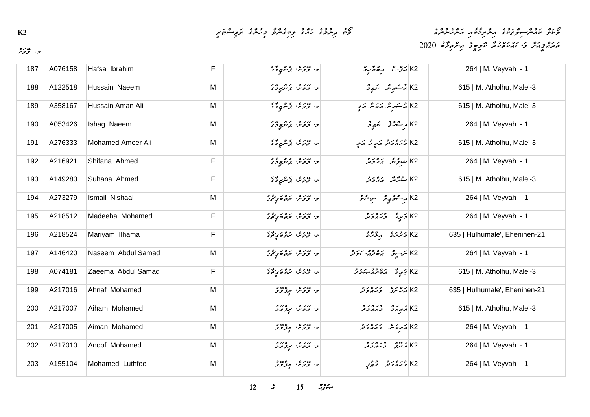*sCw7q7s5w7m< o<n9nOoAw7o< sCq;mAwBoEw7q<m; wBm;vB* م من المرة المرة المرة المرجع المرجع في المركبة 2020<br>مجم*د المريض المربوط المربع المرجع في المراجع المركبة* 

| 187 | A076158 | Hafsa Ibrahim         | F           | د· ٷۈش؛ ئۇشپەۋك                            | K2  تەۋىبە مەھەر پە                      | 264   M. Veyvah - 1           |
|-----|---------|-----------------------|-------------|--------------------------------------------|------------------------------------------|-------------------------------|
| 188 | A122518 | Hussain Naeem         | M           | و عدده و عروبه                             | K2  ترسَمبر ش سَمبِ 12                   | 615   M. Atholhu, Male'-3     |
| 189 | A358167 | Hussain Aman Ali      | M           | و. ءەرە بى ھەدە                            | K2 يُرْسَمبر بْكَرْ بْكَرْ مَرْمِرٍ      | 615   M. Atholhu, Male'-3     |
| 190 | A053426 | Ishag Naeem           | M           | و عدده وعروبه                              | K2 <sub>م</sub> ِ مِسْرَّةٌ مَمَّدٍ مُحَ | 264   M. Veyvah - 1           |
| 191 | A276333 | Mohamed Ameer Ali     | M           | و علامات عامل و د                          | K2 <i>دُورو دَ دَجِ</i> پَرَ مَهِ        | 615   M. Atholhu, Male'-3     |
| 192 | A216921 | Shifana Ahmed         | $\mathsf F$ | و عدده وعروبه                              | K2 شورٌ مَدْ دَمْرَ مَدْ دَمْرَ مِنْ     | 264   M. Veyvah - 1           |
| 193 | A149280 | Suhana Ahmed          | F           | و عدده وعروبه                              | K2 كەرىگە كەندى كەندى                    | 615   M. Atholhu, Male'-3     |
| 194 | A273279 | <b>Ismail Nishaal</b> | M           | و می ده ده د ده و کود                      | K2 برىگۇي <sub>چ</sub> ۇ سىشۇ            | 264   M. Veyvah - 1           |
| 195 | A218512 | Madeeha Mohamed       | F           | و من ده ده د دور ده.<br>د کولاس مرده د گوی | K2 دَمِيدٌ حَمَدُ دَمَرَ                 | 264   M. Veyvah - 1           |
| 196 | A218524 | Mariyam Ilhama        | F           | د. دره ده در د.<br>د. ووس مروه د کرد       | K2 كا كا يحركر محركر كانت المركزي        | 635   Hulhumale', Ehenihen-21 |
| 197 | A146420 | Naseem Abdul Samad    | M           | د. دره ده در د.<br>د. ووس مروه د کرد       | K2 مترسوف <i>ى مەھەرمەد تەر</i>          | 264   M. Veyvah - 1           |
| 198 | A074181 | Zaeema Abdul Samad    | $\mathsf F$ | و می ده ده ده د ده و                       | K2 يَهُودُ مَصْعَرْ مُسْرَوْمَر          | 615   M. Atholhu, Male'-3     |
| 199 | A217016 | Ahnaf Mohamed         | M           | و عامره مروروه<br>و وحامل مروح و           | K2 كەيمىتى ئەممەدىر                      | 635   Hulhumale', Ehenihen-21 |
| 200 | A217007 | Aiham Mohamed         | M           |                                            | K2 <i>جَمِيدَة ويُمُحَمَّد</i>           | 615   M. Atholhu, Male'-3     |
| 201 | A217005 | Aiman Mohamed         | M           | و عدد و مده وه ده و                        | K2 <i>הֿהְבֹית בּיִבְרְב</i> ּבּ         | 264   M. Veyvah - 1           |
| 202 | A217010 | Anoof Mohamed         | M           | و عدد و معده و                             | K2 كەنتىر بەر دىر                        | 264   M. Veyvah - 1           |
| 203 | A155104 | Mohamed Luthfee       | M           | ه به ده.<br>د ووش مرووو                    | K2  <i>32,325 جوني</i>                   | 264   M. Veyvah - 1           |

 $12$  *s*  $15$  *n***<sub>s</sub>**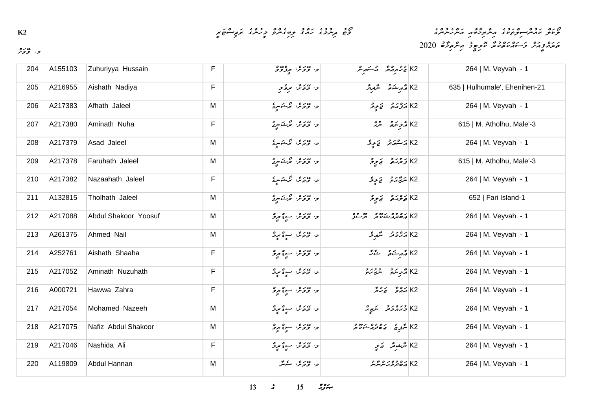*sCw7q7s5w7m< o<n9nOoAw7o< sCq;mAwBoEw7q<m; wBm;vB* م من المرة المرة المرة المرجع المرجع في المركبة 2020<br>مجم*د المريض المربوط المربع المرجع في المراجع المركبة* 

| 204 | A155103 | Zuhuriyya Hussain    | F           | و عدد و مده و م            | K2 ىج <i>جىمبر مەڭ بىر شەمب</i> ىر                    | 264   M. Veyvah - 1           |
|-----|---------|----------------------|-------------|----------------------------|-------------------------------------------------------|-------------------------------|
| 205 | A216955 | Aishath Nadiya       | F           | و پيموش بروگو              | K2 مەم شەم ئىس ئىرىدىگە                               | 635   Hulhumale', Ehenihen-21 |
| 206 | A217383 | Afhath Jaleel        | M           | و. ٷوین گرېشونو ک          | K2 ك <i>ۇڭگا قىچ</i> تى                               | 264   M. Veyvah - 1           |
| 207 | A217380 | Aminath Nuha         | F           | والمحافرها المحيضة للمعالج | K2 گەجەسىھ مىرگ                                       | 615   M. Atholhu, Male'-3     |
| 208 | A217379 | Asad Jaleel          | M           | و. ءوره گرڪسري             | K2 كەشھەتر   قىم يونى                                 | 264   M. Veyvah - 1           |
| 209 | A217378 | Faruhath Jaleel      | M           | و. ءوره گرڪسري             | K2 كَرْكْرْكْتْمْ كَيْ مِرْكْرْ                       | 615   M. Atholhu, Male'-3     |
| 210 | A217382 | Nazaahath Jaleel     | F           | و عموم محشین               |                                                       | 264   M. Veyvah - 1           |
| 211 | A132815 | Tholhath Jaleel      | M           | و. ءوره گرځسره             | K2 يَرْثَرُيْهُ تَجَمَّوِثْرُ                         | 652   Fari Island-1           |
| 212 | A217088 | Abdul Shakoor Yoosuf | M           | و عدده، سوء مرد            | 02 م 020 مردد و 02<br>K2 م <i>گ ه ترم شوند</i> بر سوز | 264   M. Veyvah - 1           |
| 213 | A261375 | Ahmed Nail           | M           | و عدده، سوء مرد            | K2 كەندى ئىگە بىر ئىگە بىر                            | 264   M. Veyvah - 1           |
| 214 | A252761 | Aishath Shaaha       | F           | و عدده، سوء برو            | K2 مەم شەقر ھەشەشەر                                   | 264   M. Veyvah - 1           |
| 215 | A217052 | Aminath Nuzuhath     | F           | و عمومہ سوء ہوت            | K2 مُجْرِسَمُ مُسَنِّي مَنْ لِمَحْ                    | 264   M. Veyvah - 1           |
| 216 | A000721 | Hawwa Zahra          | $\mathsf F$ | و عدده، سوء مرد            | K2 يَہُمْ تَجِرْ يَحْرِ                               | 264   M. Veyvah - 1           |
| 217 | A217054 | Mohamed Nazeeh       | M           | و عمومہ سوء ہوت            | K2  <i>وټرونوتر سرپې</i> ژ                            | 264   M. Veyvah - 1           |
| 218 | A217075 | Nafiz Abdul Shakoor  | M           | د عوض سوء برو              | K2 تېرې مەھ <i>ەرە</i> دەرە                           | 264   M. Veyvah - 1           |
| 219 | A217046 | Nashida Ali          | F           | و عدده، سوء مرد            | K2 سَّرْڪونَ <i>رَ ۾َ جِ</i>                          | 264   M. Veyvah - 1           |
| 220 | A119809 | Abdul Hannan         | M           | ە ، <i>، ، ، ە ، ئە</i> ئە | K2 مەھەر 2 بەر ئەرتىر                                 | 264   M. Veyvah - 1           |

 $13$  *s*  $15$  *n***<sub>y</sub>** *n*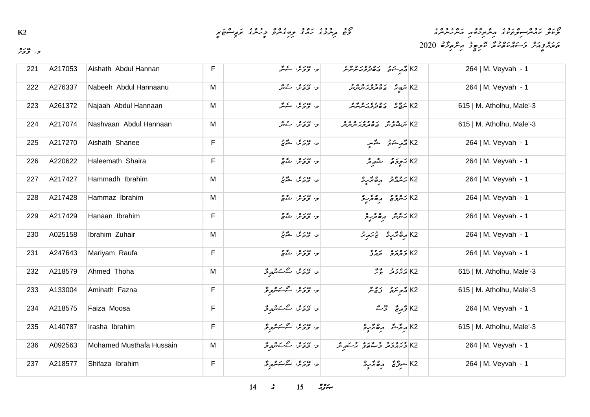*sCw7q7s5w7m< o<n9nOoAw7o< sCq;mAwBoEw7q<m; wBm;vB* م من المرة المرة المرة المرجع المرجع في المركبة 2020<br>مجم*د المريض المربوط المربع المرجع في المراجع المركبة* 

| 221 | A217053 | Aishath Abdul Hannan     | F | د. <sup>27</sup> ور، سگانگر        | K2 <i>مەم شەھ مەھەرى بىر بىر بىرى</i>              | 264   M. Veyvah - 1       |
|-----|---------|--------------------------|---|------------------------------------|----------------------------------------------------|---------------------------|
| 222 | A276337 | Nabeeh Abdul Hannaanu    | M | ى ، ، ، ئەرە، كەنگە                | K2 سَهِ پَر مَهْ فَرَحْهُ بِرَ سَرْ سَرْ بَرْ بِرَ | 264   M. Veyvah - 1       |
| 223 | A261372 | Najaah Abdul Hannaan     | M | ى ئەرەپ شەش                        | K2 ترقي به مصر <i>وبه ترتر</i> ير                  | 615   M. Atholhu, Male'-3 |
| 224 | A217074 | Nashvaan Abdul Hannaan   | M | ە ئەممى ئەيگە                      | K2 مۇشۇم ھەر مەھر <i>ى بەر بەر بىر بىر بىر بىر</i> | 615   M. Atholhu, Male'-3 |
| 225 | A217270 | Aishath Shanee           | F | و. ٷوش، ڪري                        | K2 مەمرىشىق <sub>ە</sub> مەھمىر                    | 264   M. Veyvah - 1       |
| 226 | A220622 | Haleemath Shaira         | F | ى ئەرەپ شەر                        | K2 كەمچەدىقە ئەشەر ئىگە                            | 264   M. Veyvah - 1       |
| 227 | A217427 | Hammadh Ibrahim          | M | ى ئەرەپ شەم                        | K2 ئىتردە مەھەرد                                   | 264   M. Veyvah - 1       |
| 228 | A217428 | Hammaz Ibrahim           | M | و. ٷوگر، ڪچ                        | K2 ئەش <i>رقى مەھەترى</i> ر                        | 264   M. Veyvah - 1       |
| 229 | A217429 | Hanaan Ibrahim           | F | ا <i>د ، وګړې څ</i> خه             | K2 بَرْمَرْمْر ب <i>رەڭرى</i> رْد                  | 264   M. Veyvah - 1       |
| 230 | A025158 | Ibrahim Zuhair           | M | و. ٷۄؘڰر، ڂڋڿ                      | K2 مەھەر بولىرى تەرىخ                              | 264   M. Veyvah - 1       |
| 231 | A247643 | Mariyam Raufa            | F | و عووش شود                         | K2 دېږه بروتو                                      | 264   M. Veyvah - 1       |
| 232 | A218579 | Ahmed Thoha              | M | و ، ئۇرۇ، سەسكەنگرىز گە            | K2 كەبرى قورىسى ئىچە ئى                            | 615   M. Atholhu, Male'-3 |
| 233 | A133004 | Aminath Fazna            | F | <sub>ج</sub> . ئۇنەش، سەسەھرىمى ئى | K2 مَّ حِسَمَعُ وَيُحَسَّرُ                        | 615   M. Atholhu, Male'-3 |
| 234 | A218575 | Faiza Moosa              | F | و ، ئۇرۇ، سەسكەنگرىز گە            | $23$ $25$ $K2$                                     | 264   M. Veyvah - 1       |
| 235 | A140787 | Irasha Ibrahim           | F | و ، ئۇنۇش سەسكەنلىرىگە             | K2 مِتَرْتْهُ مِنْ مَحْرِدْ                        | 615   M. Atholhu, Male'-3 |
| 236 | A092563 | Mohamed Musthafa Hussain | M | ا <i>د. ۋور، سىمىتىرو</i> گە       | K2 درەرو ومەرو دىكىرىش                             | 264   M. Veyvah - 1       |
| 237 | A218577 | Shifaza Ibrahim          | F | و ، ئۇتۇر، سەسكەنلىرىگە            | K2 خورَّجَ م <i>ەھترى</i> ر                        | 264   M. Veyvah - 1       |

*14 sC 15 nNw?mS*